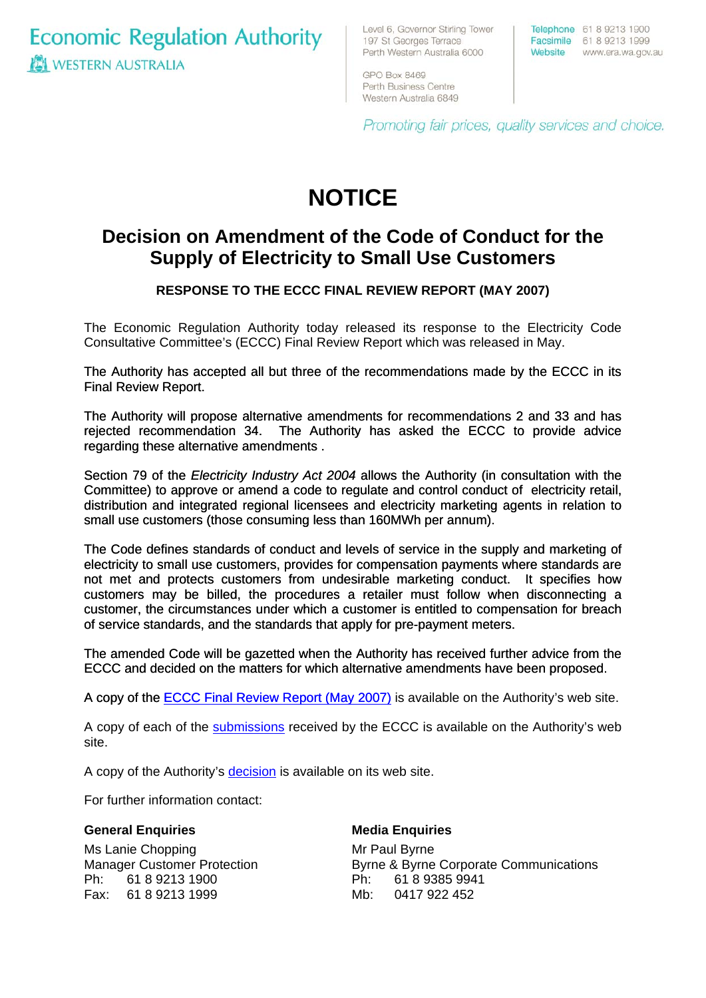**Economic Regulation Authority WESTERN AUSTRALIA** 

Level 6, Governor Stirling Tower 197 St Georges Terrace Perth Western Australia 6000

Telephone 61 8 9213 1900 Facsimile 61 8 9213 1999 Website www.era.wa.gov.au

GPO Box 8469 Perth Business Centre Western Australia 6849

Promoting fair prices, quality services and choice.

# **NOTICE**

# **Decision on Amendment of the Code of Conduct for the Supply of Electricity to Small Use Customers**

### **RESPONSE TO THE ECCC FINAL REVIEW REPORT (MAY 2007)**

The Economic Regulation Authority today released its response to the Electricity Code Consultative Committee's (ECCC) Final Review Report which was released in May.

The Authority has accepted all but three of the recommendations made by the ECCC in its Final Review Report.

The Authority will propose alternative amendments for recommendations 2 and 33 and has rejected recommendation 34. The Authority has asked the ECCC to provide advice regarding these alternative amendments .

Section 79 of the *Electricity Industry Act 2004* allows the Authority (in consultation with the Committee) to approve or amend a code to regulate and control conduct of electricity retail, distribution and integrated regional licensees and electricity marketing agents in relation to small use customers (those consuming less than 160MWh per annum).

The Code defines standards of conduct and levels of service in the supply and marketing of electricity to small use customers, provides for compensation payments where standards are not met and protects customers from undesirable marketing conduct. It specifies how customers may be billed, the procedures a retailer must follow when disconnecting a customer, the circumstances under which a customer is entitled to compensation for breach of service standards, and the standards that apply for pre-payment meters.

The amended Code will be gazetted when the Authority has received further advice from the ECCC and decided on the matters for which alternative amendments have been proposed.

[A copy of the ECCC Final Review Report \(May 2007\)](http://www.era.wa.gov.au/cproot/5676/25736/ECCC%20Review%20of%20the%20CoC%20for%20the%20Supply%20of%20Electricity%20to%20Small%20Use%20Customers%20FINAL%20REVIEW%20REPORT%20MAY%202007.pdf) is available on the Authority's web site.

A copy of each of the [submissions](http://www.era.wa.gov.au/3/423/51/further_informa.pm) received by the ECCC is available on the Authority's web site.

A copy of the Authority's [decision](http://www.era.wa.gov.au/cproot/5675/25733/Decision%20regarding%20the%20ECCC%20Final%20Review%20Report%20June%202007.pdf) is available on its web site.

For further information contact:

#### **General Enquiries**

Ms Lanie Chopping Manager Customer Protection Ph: 61 8 9213 1900 Fax: 61 8 9213 1999

#### **Media Enquiries**

Mr Paul Byrne Byrne & Byrne Corporate Communications Ph: 61 8 9385 9941 Mb: 0417 922 452